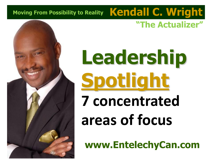# **"The Actualizer" Moving From Possibility to Reality Kendall C. Wright**

# **Leadership Spotlight 7 concentrated areas of focus**

**www.EntelechyCan.com**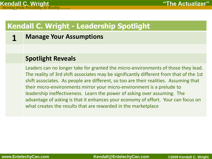**1 Manage Your Assumptions**

#### **Spotlight Reveals**

Leaders can no longer take for granted the micro-environments of those they lead. The reality of 3rd shift associates may be significantly different from that of the 1st shift associates. As people are different, so too are their realities. Assuming that their micro-environments mirror your micro-environment is a prelude to leadership ineffectiveness. Learn the power of asking over assuming. The advantage of asking is that it enhances your economy of effort. Your can focus on what creates the results that are rewarded in the marketplace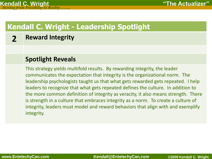# **2 Reward Integrity**

#### **Spotlight Reveals**

This strategy yields multifold results. By rewarding integrity, the leader communicates the expectation that integrity is the organizational norm. The leadership psychologists taught us that what gets rewarded gets repeated. I help leaders to recognize that what gets repeated defines the culture. In addition to the more common definition of integrity as veracity, it also means strength. There is strength in a culture that embraces integrity as a norm. To create a culture of integrity, leaders must model and reward behaviors that align with and exemplify integrity.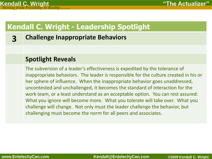# **3 Challenge Inappropriate Behaviors**

#### **Spotlight Reveals**

The subversion of a leader's effectiveness is expedited by the tolerance of inappropriate behaviors. The leader is responsible for the culture created in his or her sphere of influence. When the inappropriate behavior goes unaddressed, uncontested and unchallenged, it becomes the standard of interaction for the work team, or a least understand as an acceptable option. You can rest assured: What you ignore will become more. What you tolerate will take over. What you challenge will change. Not only must the leader challenge the behavior, but challenging must become the norm for all peers and associates.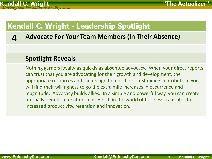**4 Advocate For Your Team Members (In Their Absence)**

#### **Spotlight Reveals**

Nothing garners loyalty as quickly as absentee advocacy. When your direct reports can trust that you are advocating for their growth and development, the appropriate resources and the recognition of their outstanding contribution, you will find their willingness to go the extra mile increases in occurrence and magnitude. Advocacy builds allies. In a simple and powerful way, you can create mutually beneficial relationships, which in the world of business translates to increased productivity, retention and innovation.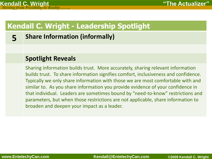**5 Share Information (informally)**

#### **Spotlight Reveals**

Sharing information builds trust. More accurately, sharing relevant information builds trust. To share information signifies comfort, inclusiveness and confidence. Typically we only share information with those we are most comfortable with and similar to. As you share information you provide evidence of your confidence in that individual. Leaders are sometimes bound by "need-to-know" restrictions and parameters, but when those restrictions are not applicable, share information to broaden and deepen your impact as a leader.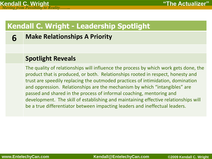**6 Make Relationships A Priority**

#### **Spotlight Reveals**

The quality of relationships will influence the process by which work gets done, the product that is produced, or both. Relationships rooted in respect, honesty and trust are speedily replacing the outmoded practices of intimidation, domination and oppression. Relationships are the mechanism by which "intangibles" are passed and shared in the process of informal coaching, mentoring and development. The skill of establishing and maintaining effective relationships will be a true differentiator between impacting leaders and ineffectual leaders.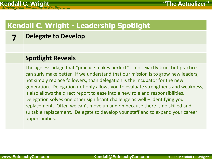### **7 Delegate to Develop**

#### **Spotlight Reveals**

The ageless adage that "practice makes perfect" is not exactly true, but practice can surly make better. If we understand that our mission is to grow new leaders, not simply replace followers, than delegation is the incubator for the new generation. Delegation not only allows you to evaluate strengthens and weakness, it also allows the direct report to ease into a new role and responsibilities. Delegation solves one other significant challenge as well – identifying your replacement. Often we can't move up and on because there is no skilled and suitable replacement. Delegate to develop your staff and to expand your career opportunities.